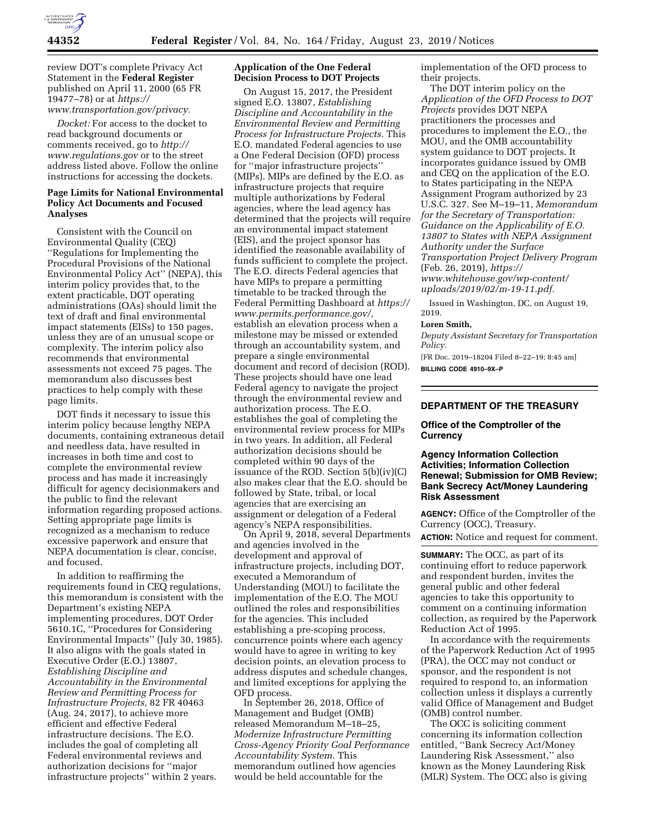

review DOT's complete Privacy Act Statement in the **Federal Register**  published on April 11, 2000 (65 FR 19477–78) or at *[https://](https://www.transportation.gov/privacy) [www.transportation.gov/privacy.](https://www.transportation.gov/privacy)* 

*Docket:* For access to the docket to read background documents or comments received, go to *[http://](http://www.regulations.gov) [www.regulations.gov](http://www.regulations.gov)* or to the street address listed above. Follow the online instructions for accessing the dockets.

# **Page Limits for National Environmental Policy Act Documents and Focused Analyses**

Consistent with the Council on Environmental Quality (CEQ) ''Regulations for Implementing the Procedural Provisions of the National Environmental Policy Act'' (NEPA), this interim policy provides that, to the extent practicable, DOT operating administrations (OAs) should limit the text of draft and final environmental impact statements (EISs) to 150 pages, unless they are of an unusual scope or complexity. The interim policy also recommends that environmental assessments not exceed 75 pages. The memorandum also discusses best practices to help comply with these page limits.

DOT finds it necessary to issue this interim policy because lengthy NEPA documents, containing extraneous detail and needless data, have resulted in increases in both time and cost to complete the environmental review process and has made it increasingly difficult for agency decisionmakers and the public to find the relevant information regarding proposed actions. Setting appropriate page limits is recognized as a mechanism to reduce excessive paperwork and ensure that NEPA documentation is clear, concise, and focused.

In addition to reaffirming the requirements found in CEQ regulations, this memorandum is consistent with the Department's existing NEPA implementing procedures, DOT Order 5610.1C, ''Procedures for Considering Environmental Impacts'' (July 30, 1985). It also aligns with the goals stated in Executive Order (E.O.) 13807, *Establishing Discipline and Accountability in the Environmental Review and Permitting Process for Infrastructure Projects,* 82 FR 40463 (Aug. 24, 2017), to achieve more efficient and effective Federal infrastructure decisions. The E.O. includes the goal of completing all Federal environmental reviews and authorization decisions for ''major infrastructure projects'' within 2 years.

# **Application of the One Federal Decision Process to DOT Projects**

On August 15, 2017, the President signed E.O. 13807, *Establishing Discipline and Accountability in the Environmental Review and Permitting Process for Infrastructure Projects.* This E.O. mandated Federal agencies to use a One Federal Decision (OFD) process for ''major infrastructure projects'' (MIPs). MIPs are defined by the E.O. as infrastructure projects that require multiple authorizations by Federal agencies, where the lead agency has determined that the projects will require an environmental impact statement (EIS), and the project sponsor has identified the reasonable availability of funds sufficient to complete the project. The E.O. directs Federal agencies that have MIPs to prepare a permitting timetable to be tracked through the Federal Permitting Dashboard at *[https://](https://www.permits.performance.gov/) [www.permits.performance.gov/,](https://www.permits.performance.gov/)*  establish an elevation process when a milestone may be missed or extended through an accountability system, and prepare a single environmental document and record of decision (ROD). These projects should have one lead Federal agency to navigate the project through the environmental review and authorization process. The E.O. establishes the goal of completing the environmental review process for MIPs in two years. In addition, all Federal authorization decisions should be completed within 90 days of the issuance of the ROD. Section 5(b)(iv)(C) also makes clear that the E.O. should be followed by State, tribal, or local agencies that are exercising an assignment or delegation of a Federal agency's NEPA responsibilities.

On April 9, 2018, several Departments and agencies involved in the development and approval of infrastructure projects, including DOT, executed a Memorandum of Understanding (MOU) to facilitate the implementation of the E.O. The MOU outlined the roles and responsibilities for the agencies. This included establishing a pre-scoping process, concurrence points where each agency would have to agree in writing to key decision points, an elevation process to address disputes and schedule changes, and limited exceptions for applying the OFD process.

In September 26, 2018, Office of Management and Budget (OMB) released Memorandum M–18–25, *Modernize Infrastructure Permitting Cross-Agency Priority Goal Performance Accountability System.* This memorandum outlined how agencies would be held accountable for the

implementation of the OFD process to their projects.

The DOT interim policy on the *Application of the OFD Process to DOT Projects* provides DOT NEPA practitioners the processes and procedures to implement the E.O., the MOU, and the OMB accountability system guidance to DOT projects. It incorporates guidance issued by OMB and CEQ on the application of the E.O. to States participating in the NEPA Assignment Program authorized by 23 U.S.C. 327. See M–19–11, *Memorandum for the Secretary of Transportation: Guidance on the Applicability of E.O. 13807 to States with NEPA Assignment Authority under the Surface Transportation Project Delivery Program*  (Feb. 26, 2019), *[https://](https://www.whitehouse.gov/wp-content/uploads/2019/02/m-19-11.pdf) [www.whitehouse.gov/wp-content/](https://www.whitehouse.gov/wp-content/uploads/2019/02/m-19-11.pdf) [uploads/2019/02/m-19-11.pdf.](https://www.whitehouse.gov/wp-content/uploads/2019/02/m-19-11.pdf)* 

Issued in Washington, DC, on August 19, 2019.

# **Loren Smith,**

*Deputy Assistant Secretary for Transportation Policy.* 

[FR Doc. 2019–18204 Filed 8–22–19; 8:45 am] **BILLING CODE 4910–9X–P** 

## **DEPARTMENT OF THE TREASURY**

#### **Office of the Comptroller of the Currency**

# **Agency Information Collection Activities; Information Collection Renewal; Submission for OMB Review; Bank Secrecy Act/Money Laundering Risk Assessment**

**AGENCY:** Office of the Comptroller of the Currency (OCC), Treasury.

**ACTION:** Notice and request for comment.

**SUMMARY:** The OCC, as part of its continuing effort to reduce paperwork and respondent burden, invites the general public and other federal agencies to take this opportunity to comment on a continuing information collection, as required by the Paperwork Reduction Act of 1995.

In accordance with the requirements of the Paperwork Reduction Act of 1995 (PRA), the OCC may not conduct or sponsor, and the respondent is not required to respond to, an information collection unless it displays a currently valid Office of Management and Budget (OMB) control number.

The OCC is soliciting comment concerning its information collection entitled, ''Bank Secrecy Act/Money Laundering Risk Assessment,'' also known as the Money Laundering Risk (MLR) System. The OCC also is giving